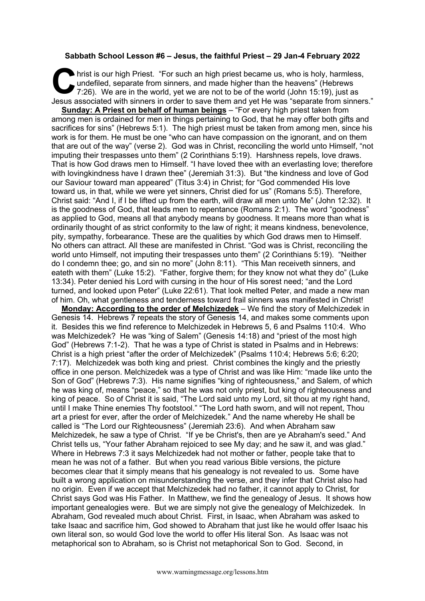## **Sabbath School Lesson #6 – Jesus, the faithful Priest – 29 Jan-4 February 2022**

hrist is our high Priest. "For such an high priest became us, who is holy, harmless, undefiled, separate from sinners, and made higher than the heavens" (Hebrews 7:26). We are in the world, yet we are not to be of the worl undefiled, separate from sinners, and made higher than the heavens" (Hebrews 7:26). We are in the world, yet we are not to be of the world (John 15:19), just as Jesus associated with sinners in order to save them and yet He was "separate from sinners."

**Sunday: A Priest on behalf of human beings** – "For every high priest taken from among men is ordained for men in things pertaining to God, that he may offer both gifts and sacrifices for sins" (Hebrews 5:1). The high priest must be taken from among men, since his work is for them. He must be one "who can have compassion on the ignorant, and on them that are out of the way" (verse 2). God was in Christ, reconciling the world unto Himself, "not imputing their trespasses unto them" (2 Corinthians 5:19). Harshness repels, love draws. That is how God draws men to Himself. "I have loved thee with an everlasting love; therefore with lovingkindness have I drawn thee" (Jeremiah 31:3). But "the kindness and love of God our Saviour toward man appeared" (Titus 3:4) in Christ; for "God commended His love toward us, in that, while we were yet sinners, Christ died for us" (Romans 5:5). Therefore, Christ said: "And I, if I be lifted up from the earth, will draw all men unto Me" (John 12:32). It is the goodness of God, that leads men to repentance (Romans 2:1). The word "goodness" as applied to God, means all that anybody means by goodness. It means more than what is ordinarily thought of as strict conformity to the law of right; it means kindness, benevolence, pity, sympathy, forbearance. These are the qualities by which God draws men to Himself. No others can attract. All these are manifested in Christ. "God was is Christ, reconciling the world unto Himself, not imputing their trespasses unto them" (2 Corinthians 5:19). "Neither do I condemn thee; go, and sin no more" (John 8:11). "This Man receiveth sinners, and eateth with them" (Luke 15:2). "Father, forgive them; for they know not what they do" (Luke 13:34). Peter denied his Lord with cursing in the hour of His sorest need; "and the Lord turned, and looked upon Peter" (Luke 22:61). That look melted Peter, and made a new man of him. Oh, what gentleness and tenderness toward frail sinners was manifested in Christ!

**Monday: According to the order of Melchizedek** – We find the story of Melchizedek in Genesis 14. Hebrews 7 repeats the story of Genesis 14, and makes some comments upon it. Besides this we find reference to Melchizedek in Hebrews 5, 6 and Psalms 110:4. Who was Melchizedek? He was "king of Salem" (Genesis 14:18) and "priest of the most high God" (Hebrews 7:1-2). That he was a type of Christ is stated in Psalms and in Hebrews: Christ is a high priest "after the order of Melchizedek" (Psalms 110:4; Hebrews 5:6; 6:20; 7:17). Melchizedek was both king and priest. Christ combines the kingly and the priestly office in one person. Melchizedek was a type of Christ and was like Him: "made like unto the Son of God" (Hebrews 7:3). His name signifies "king of righteousness," and Salem, of which he was king of, means "peace," so that he was not only priest, but king of righteousness and king of peace. So of Christ it is said, "The Lord said unto my Lord, sit thou at my right hand, until I make Thine enemies Thy footstool." "The Lord hath sworn, and will not repent, Thou art a priest for ever, after the order of Melchizedek." And the name whereby He shall be called is "The Lord our Righteousness" (Jeremiah 23:6). And when Abraham saw Melchizedek, he saw a type of Christ. "If ye be Christ's, then are ye Abraham's seed." And Christ tells us, "Your father Abraham rejoiced to see My day; and he saw it, and was glad." Where in Hebrews 7:3 it says Melchizedek had not mother or father, people take that to mean he was not of a father. But when you read various Bible versions, the picture becomes clear that it simply means that his genealogy is not revealed to us. Some have built a wrong application on misunderstanding the verse, and they infer that Christ also had no origin. Even if we accept that Melchizedek had no father, it cannot apply to Christ, for Christ says God was His Father. In Matthew, we find the genealogy of Jesus. It shows how important genealogies were. But we are simply not give the genealogy of Melchizedek. In Abraham, God revealed much about Christ. First, in Isaac, when Abraham was asked to take Isaac and sacrifice him, God showed to Abraham that just like he would offer Isaac his own literal son, so would God love the world to offer His literal Son. As Isaac was not metaphorical son to Abraham, so is Christ not metaphorical Son to God. Second, in